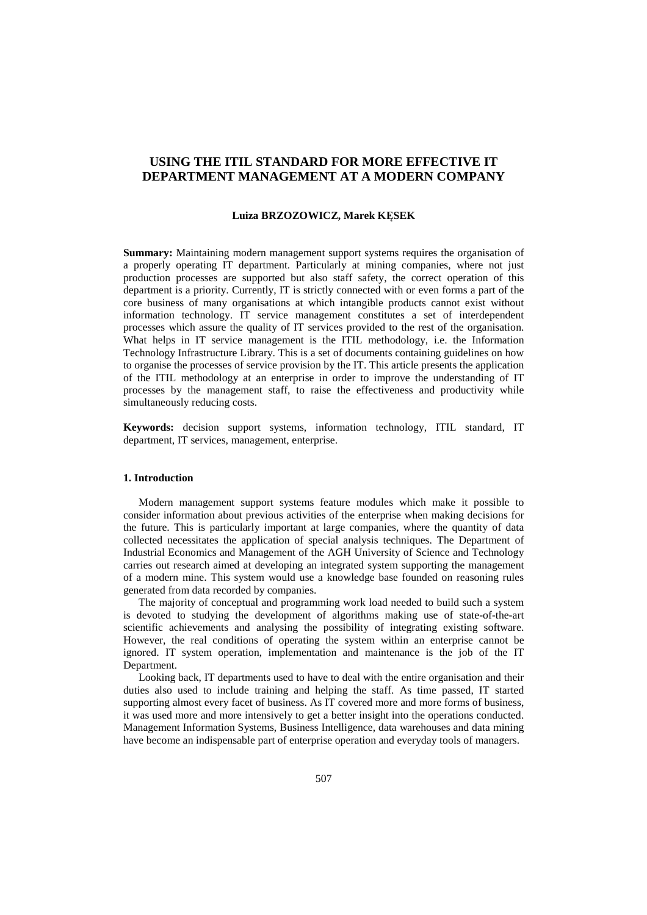# **USING THE ITIL STANDARD FOR MORE EFFECTIVE IT DEPARTMENT MANAGEMENT AT A MODERN COMPANY**

#### **Luiza BRZOZOWICZ, Marek KĘSEK**

**Summary:** Maintaining modern management support systems requires the organisation of a properly operating IT department. Particularly at mining companies, where not just production processes are supported but also staff safety, the correct operation of this department is a priority. Currently, IT is strictly connected with or even forms a part of the core business of many organisations at which intangible products cannot exist without information technology. IT service management constitutes a set of interdependent processes which assure the quality of IT services provided to the rest of the organisation. What helps in IT service management is the ITIL methodology, i.e. the Information Technology Infrastructure Library. This is a set of documents containing guidelines on how to organise the processes of service provision by the IT. This article presents the application of the ITIL methodology at an enterprise in order to improve the understanding of IT processes by the management staff, to raise the effectiveness and productivity while simultaneously reducing costs.

**Keywords:** decision support systems, information technology, ITIL standard, IT department, IT services, management, enterprise.

#### **1. Introduction**

Modern management support systems feature modules which make it possible to consider information about previous activities of the enterprise when making decisions for the future. This is particularly important at large companies, where the quantity of data collected necessitates the application of special analysis techniques. The Department of Industrial Economics and Management of the AGH University of Science and Technology carries out research aimed at developing an integrated system supporting the management of a modern mine. This system would use a knowledge base founded on reasoning rules generated from data recorded by companies.

The majority of conceptual and programming work load needed to build such a system is devoted to studying the development of algorithms making use of state-of-the-art scientific achievements and analysing the possibility of integrating existing software. However, the real conditions of operating the system within an enterprise cannot be ignored. IT system operation, implementation and maintenance is the job of the IT Department.

Looking back, IT departments used to have to deal with the entire organisation and their duties also used to include training and helping the staff. As time passed, IT started supporting almost every facet of business. As IT covered more and more forms of business, it was used more and more intensively to get a better insight into the operations conducted. Management Information Systems, Business Intelligence, data warehouses and data mining have become an indispensable part of enterprise operation and everyday tools of managers.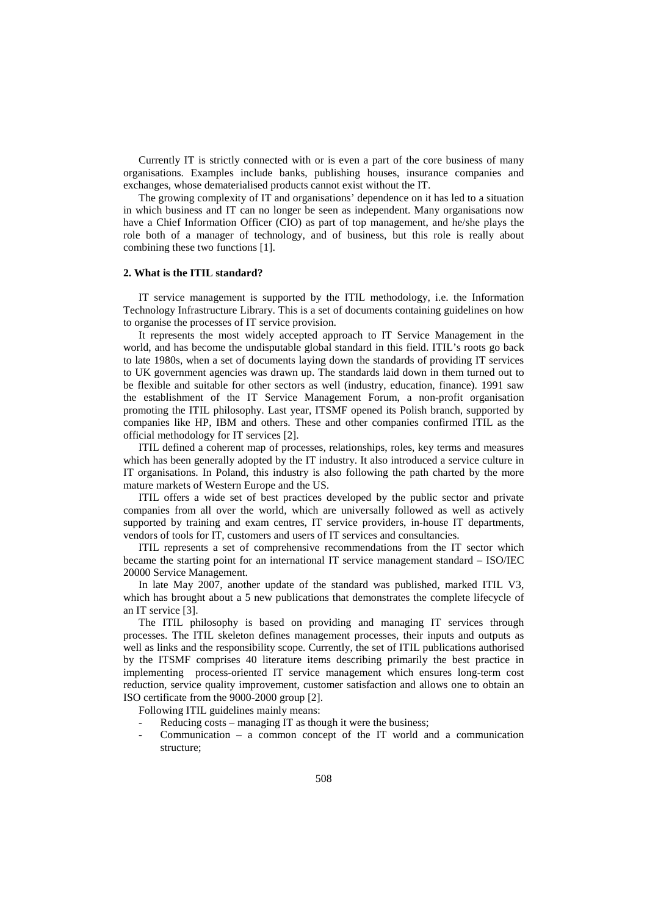Currently IT is strictly connected with or is even a part of the core business of many organisations. Examples include banks, publishing houses, insurance companies and exchanges, whose dematerialised products cannot exist without the IT.

The growing complexity of IT and organisations' dependence on it has led to a situation in which business and IT can no longer be seen as independent. Many organisations now have a Chief Information Officer (CIO) as part of top management, and he/she plays the role both of a manager of technology, and of business, but this role is really about combining these two functions [1].

### **2. What is the ITIL standard?**

IT service management is supported by the ITIL methodology, i.e. the Information Technology Infrastructure Library. This is a set of documents containing guidelines on how to organise the processes of IT service provision.

It represents the most widely accepted approach to IT Service Management in the world, and has become the undisputable global standard in this field. ITIL's roots go back to late 1980s, when a set of documents laying down the standards of providing IT services to UK government agencies was drawn up. The standards laid down in them turned out to be flexible and suitable for other sectors as well (industry, education, finance). 1991 saw the establishment of the IT Service Management Forum, a non-profit organisation promoting the ITIL philosophy. Last year, ITSMF opened its Polish branch, supported by companies like HP, IBM and others. These and other companies confirmed ITIL as the official methodology for IT services [2].

ITIL defined a coherent map of processes, relationships, roles, key terms and measures which has been generally adopted by the IT industry. It also introduced a service culture in IT organisations. In Poland, this industry is also following the path charted by the more mature markets of Western Europe and the US.

ITIL offers a wide set of best practices developed by the public sector and private companies from all over the world, which are universally followed as well as actively supported by training and exam centres, IT service providers, in-house IT departments, vendors of tools for IT, customers and users of IT services and consultancies.

ITIL represents a set of comprehensive recommendations from the IT sector which became the starting point for an international IT service management standard – ISO/IEC 20000 Service Management.

In late May 2007, another update of the standard was published, marked ITIL V3, which has brought about a 5 new publications that demonstrates the complete lifecycle of an IT service [3].

The ITIL philosophy is based on providing and managing IT services through processes. The ITIL skeleton defines management processes, their inputs and outputs as well as links and the responsibility scope. Currently, the set of ITIL publications authorised by the ITSMF comprises 40 literature items describing primarily the best practice in implementing process-oriented IT service management which ensures long-term cost reduction, service quality improvement, customer satisfaction and allows one to obtain an ISO certificate from the 9000-2000 group [2].

Following ITIL guidelines mainly means:

- Reducing costs managing IT as though it were the business;
- $Communication a common concept of the IT world and a communication$ structure;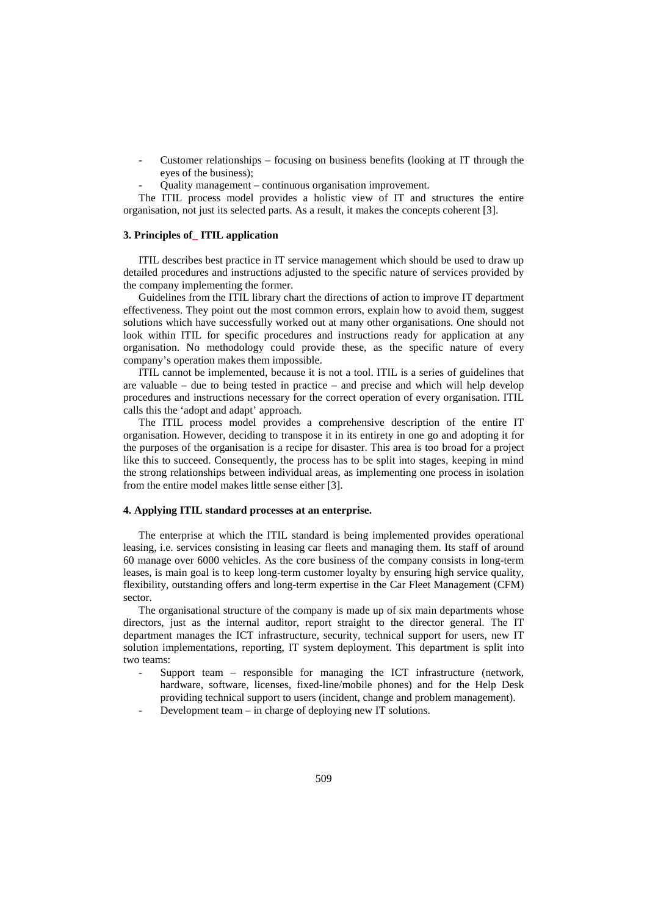- Customer relationships focusing on business benefits (looking at IT through the eyes of the business);
- Quality management continuous organisation improvement.

The ITIL process model provides a holistic view of IT and structures the entire organisation, not just its selected parts. As a result, it makes the concepts coherent [3].

# **3. Principles of\_ ITIL application**

ITIL describes best practice in IT service management which should be used to draw up detailed procedures and instructions adjusted to the specific nature of services provided by the company implementing the former.

Guidelines from the ITIL library chart the directions of action to improve IT department effectiveness. They point out the most common errors, explain how to avoid them, suggest solutions which have successfully worked out at many other organisations. One should not look within ITIL for specific procedures and instructions ready for application at any organisation. No methodology could provide these, as the specific nature of every company's operation makes them impossible.

ITIL cannot be implemented, because it is not a tool. ITIL is a series of guidelines that are valuable – due to being tested in practice – and precise and which will help develop procedures and instructions necessary for the correct operation of every organisation. ITIL calls this the 'adopt and adapt' approach.

The ITIL process model provides a comprehensive description of the entire IT organisation. However, deciding to transpose it in its entirety in one go and adopting it for the purposes of the organisation is a recipe for disaster. This area is too broad for a project like this to succeed. Consequently, the process has to be split into stages, keeping in mind the strong relationships between individual areas, as implementing one process in isolation from the entire model makes little sense either [3].

### **4. Applying ITIL standard processes at an enterprise.**

The enterprise at which the ITIL standard is being implemented provides operational leasing, i.e. services consisting in leasing car fleets and managing them. Its staff of around 60 manage over 6000 vehicles. As the core business of the company consists in long-term leases, is main goal is to keep long-term customer loyalty by ensuring high service quality, flexibility, outstanding offers and long-term expertise in the Car Fleet Management (CFM) sector.

The organisational structure of the company is made up of six main departments whose directors, just as the internal auditor, report straight to the director general. The IT department manages the ICT infrastructure, security, technical support for users, new IT solution implementations, reporting, IT system deployment. This department is split into two teams:

- Support team responsible for managing the ICT infrastructure (network, hardware, software, licenses, fixed-line/mobile phones) and for the Help Desk providing technical support to users (incident, change and problem management).
- Development team  $-$  in charge of deploying new IT solutions.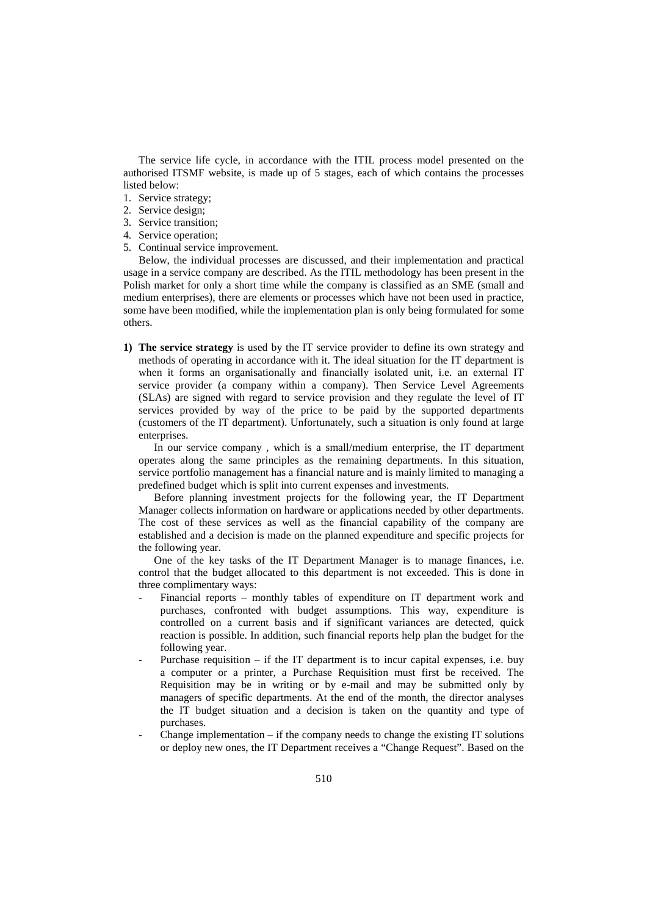The service life cycle, in accordance with the ITIL process model presented on the authorised ITSMF website, is made up of 5 stages, each of which contains the processes listed below:

- 1. Service strategy;
- 2. Service design;
- 3. Service transition;
- 4. Service operation;
- 5. Continual service improvement.

Below, the individual processes are discussed, and their implementation and practical usage in a service company are described. As the ITIL methodology has been present in the Polish market for only a short time while the company is classified as an SME (small and medium enterprises), there are elements or processes which have not been used in practice, some have been modified, while the implementation plan is only being formulated for some others.

**1) The service strategy** is used by the IT service provider to define its own strategy and methods of operating in accordance with it. The ideal situation for the IT department is when it forms an organisationally and financially isolated unit, i.e. an external IT service provider (a company within a company). Then Service Level Agreements (SLAs) are signed with regard to service provision and they regulate the level of IT services provided by way of the price to be paid by the supported departments (customers of the IT department). Unfortunately, such a situation is only found at large enterprises.

In our service company , which is a small/medium enterprise, the IT department operates along the same principles as the remaining departments. In this situation, service portfolio management has a financial nature and is mainly limited to managing a predefined budget which is split into current expenses and investments.

Before planning investment projects for the following year, the IT Department Manager collects information on hardware or applications needed by other departments. The cost of these services as well as the financial capability of the company are established and a decision is made on the planned expenditure and specific projects for the following year.

One of the key tasks of the IT Department Manager is to manage finances, i.e. control that the budget allocated to this department is not exceeded. This is done in three complimentary ways:

- Financial reports monthly tables of expenditure on IT department work and purchases, confronted with budget assumptions. This way, expenditure is controlled on a current basis and if significant variances are detected, quick reaction is possible. In addition, such financial reports help plan the budget for the following year.
- Purchase requisition  $-$  if the IT department is to incur capital expenses, i.e. buy a computer or a printer, a Purchase Requisition must first be received. The Requisition may be in writing or by e-mail and may be submitted only by managers of specific departments. At the end of the month, the director analyses the IT budget situation and a decision is taken on the quantity and type of purchases.
- Change implementation  $-$  if the company needs to change the existing IT solutions or deploy new ones, the IT Department receives a "Change Request". Based on the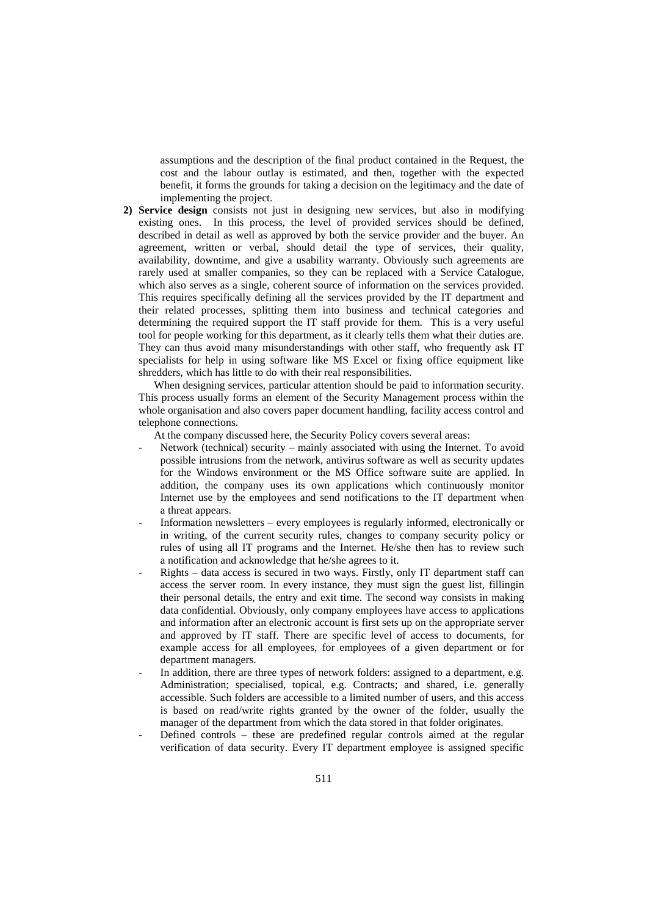assumptions and the description of the final product contained in the Request, the cost and the labour outlay is estimated, and then, together with the expected benefit, it forms the grounds for taking a decision on the legitimacy and the date of implementing the project.

**2) Service design** consists not just in designing new services, but also in modifying existing ones. In this process, the level of provided services should be defined, described in detail as well as approved by both the service provider and the buyer. An agreement, written or verbal, should detail the type of services, their quality, availability, downtime, and give a usability warranty. Obviously such agreements are rarely used at smaller companies, so they can be replaced with a Service Catalogue, which also serves as a single, coherent source of information on the services provided. This requires specifically defining all the services provided by the IT department and their related processes, splitting them into business and technical categories and determining the required support the IT staff provide for them. This is a very useful tool for people working for this department, as it clearly tells them what their duties are. They can thus avoid many misunderstandings with other staff, who frequently ask IT specialists for help in using software like MS Excel or fixing office equipment like shredders, which has little to do with their real responsibilities.

When designing services, particular attention should be paid to information security. This process usually forms an element of the Security Management process within the whole organisation and also covers paper document handling, facility access control and telephone connections.

At the company discussed here, the Security Policy covers several areas:

- Network (technical) security mainly associated with using the Internet. To avoid possible intrusions from the network, antivirus software as well as security updates for the Windows environment or the MS Office software suite are applied. In addition, the company uses its own applications which continuously monitor Internet use by the employees and send notifications to the IT department when a threat appears.
- Information newsletters every employees is regularly informed, electronically or in writing, of the current security rules, changes to company security policy or rules of using all IT programs and the Internet. He/she then has to review such a notification and acknowledge that he/she agrees to it.
- Rights data access is secured in two ways. Firstly, only IT department staff can access the server room. In every instance, they must sign the guest list, fillingin their personal details, the entry and exit time. The second way consists in making data confidential. Obviously, only company employees have access to applications and information after an electronic account is first sets up on the appropriate server and approved by IT staff. There are specific level of access to documents, for example access for all employees, for employees of a given department or for department managers.
- In addition, there are three types of network folders: assigned to a department, e.g. Administration; specialised, topical, e.g. Contracts; and shared, i.e. generally accessible. Such folders are accessible to a limited number of users, and this access is based on read/write rights granted by the owner of the folder, usually the manager of the department from which the data stored in that folder originates.
- Defined controls these are predefined regular controls aimed at the regular verification of data security. Every IT department employee is assigned specific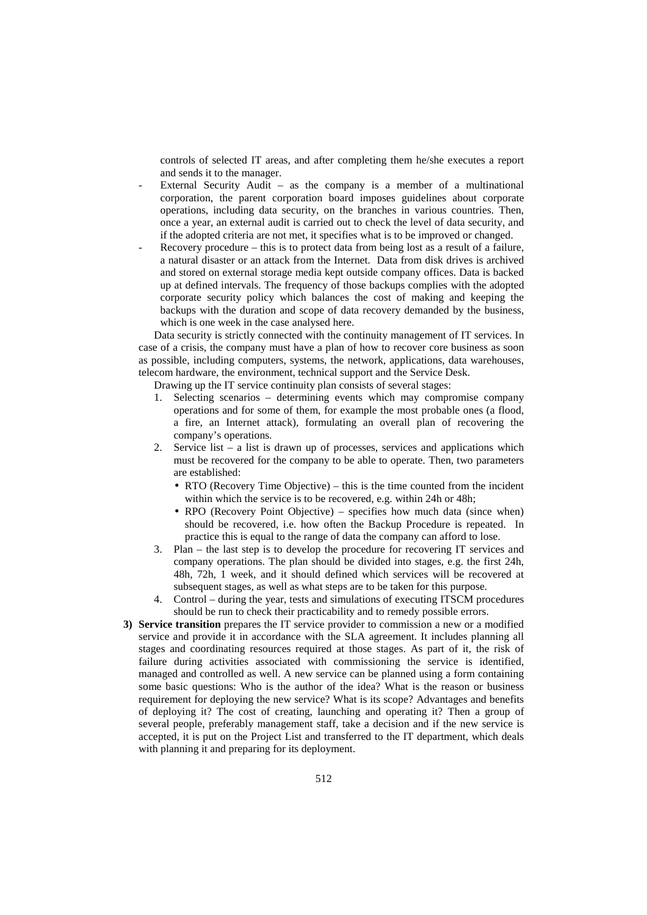controls of selected IT areas, and after completing them he/she executes a report and sends it to the manager.

- External Security Audit as the company is a member of a multinational corporation, the parent corporation board imposes guidelines about corporate operations, including data security, on the branches in various countries. Then, once a year, an external audit is carried out to check the level of data security, and if the adopted criteria are not met, it specifies what is to be improved or changed.
- $Recovery procedure this is to protect data from being lost as a result of a failure,$ a natural disaster or an attack from the Internet. Data from disk drives is archived and stored on external storage media kept outside company offices. Data is backed up at defined intervals. The frequency of those backups complies with the adopted corporate security policy which balances the cost of making and keeping the backups with the duration and scope of data recovery demanded by the business, which is one week in the case analysed here.

Data security is strictly connected with the continuity management of IT services. In case of a crisis, the company must have a plan of how to recover core business as soon as possible, including computers, systems, the network, applications, data warehouses, telecom hardware, the environment, technical support and the Service Desk.

Drawing up the IT service continuity plan consists of several stages:

- 1. Selecting scenarios determining events which may compromise company operations and for some of them, for example the most probable ones (a flood, a fire, an Internet attack), formulating an overall plan of recovering the company's operations.
- 2. Service list a list is drawn up of processes, services and applications which must be recovered for the company to be able to operate. Then, two parameters are established:
	- RTO (Recovery Time Objective) this is the time counted from the incident within which the service is to be recovered, e.g. within 24h or 48h;
	- RPO (Recovery Point Objective) specifies how much data (since when) should be recovered, i.e. how often the Backup Procedure is repeated. In practice this is equal to the range of data the company can afford to lose.
- 3. Plan the last step is to develop the procedure for recovering IT services and company operations. The plan should be divided into stages, e.g. the first 24h, 48h, 72h, 1 week, and it should defined which services will be recovered at subsequent stages, as well as what steps are to be taken for this purpose.
- 4. Control during the year, tests and simulations of executing ITSCM procedures should be run to check their practicability and to remedy possible errors.
- **3) Service transition** prepares the IT service provider to commission a new or a modified service and provide it in accordance with the SLA agreement. It includes planning all stages and coordinating resources required at those stages. As part of it, the risk of failure during activities associated with commissioning the service is identified, managed and controlled as well. A new service can be planned using a form containing some basic questions: Who is the author of the idea? What is the reason or business requirement for deploying the new service? What is its scope? Advantages and benefits of deploying it? The cost of creating, launching and operating it? Then a group of several people, preferably management staff, take a decision and if the new service is accepted, it is put on the Project List and transferred to the IT department, which deals with planning it and preparing for its deployment.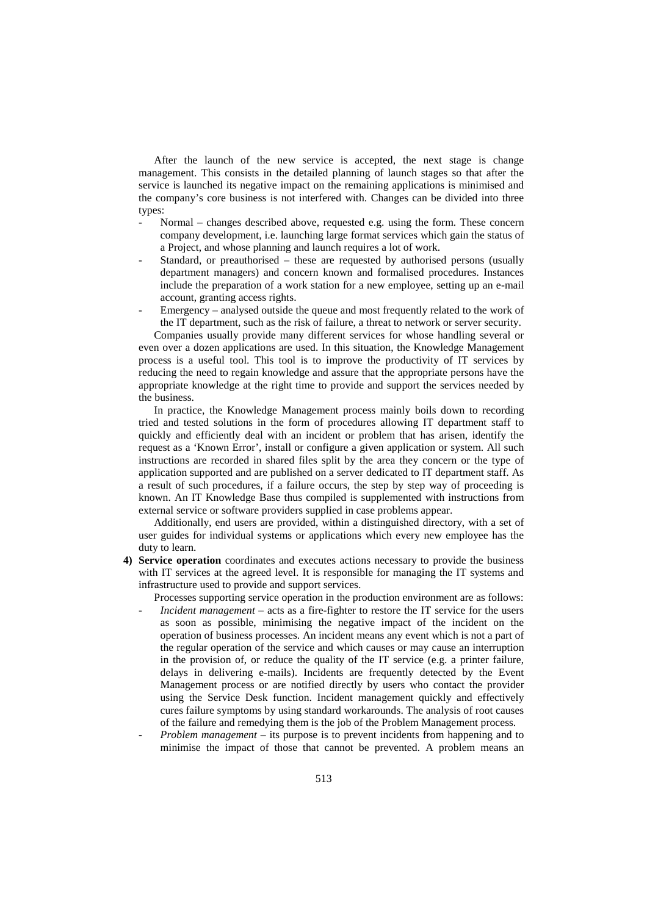After the launch of the new service is accepted, the next stage is change management. This consists in the detailed planning of launch stages so that after the service is launched its negative impact on the remaining applications is minimised and the company's core business is not interfered with. Changes can be divided into three types:

- Normal changes described above, requested e.g. using the form. These concern company development, i.e. launching large format services which gain the status of a Project, and whose planning and launch requires a lot of work.
- Standard, or preauthorised these are requested by authorised persons (usually department managers) and concern known and formalised procedures. Instances include the preparation of a work station for a new employee, setting up an e-mail account, granting access rights.
- Emergency analysed outside the queue and most frequently related to the work of the IT department, such as the risk of failure, a threat to network or server security.

Companies usually provide many different services for whose handling several or even over a dozen applications are used. In this situation, the Knowledge Management process is a useful tool. This tool is to improve the productivity of IT services by reducing the need to regain knowledge and assure that the appropriate persons have the appropriate knowledge at the right time to provide and support the services needed by the business.

In practice, the Knowledge Management process mainly boils down to recording tried and tested solutions in the form of procedures allowing IT department staff to quickly and efficiently deal with an incident or problem that has arisen, identify the request as a 'Known Error', install or configure a given application or system. All such instructions are recorded in shared files split by the area they concern or the type of application supported and are published on a server dedicated to IT department staff. As a result of such procedures, if a failure occurs, the step by step way of proceeding is known. An IT Knowledge Base thus compiled is supplemented with instructions from external service or software providers supplied in case problems appear.

Additionally, end users are provided, within a distinguished directory, with a set of user guides for individual systems or applications which every new employee has the duty to learn.

**4) Service operation** coordinates and executes actions necessary to provide the business with IT services at the agreed level. It is responsible for managing the IT systems and infrastructure used to provide and support services.

Processes supporting service operation in the production environment are as follows:

- *Incident management* acts as a fire-fighter to restore the IT service for the users as soon as possible, minimising the negative impact of the incident on the operation of business processes. An incident means any event which is not a part of the regular operation of the service and which causes or may cause an interruption in the provision of, or reduce the quality of the IT service (e.g. a printer failure, delays in delivering e-mails). Incidents are frequently detected by the Event Management process or are notified directly by users who contact the provider using the Service Desk function. Incident management quickly and effectively cures failure symptoms by using standard workarounds. The analysis of root causes of the failure and remedying them is the job of the Problem Management process.
- *Problem management* its purpose is to prevent incidents from happening and to minimise the impact of those that cannot be prevented. A problem means an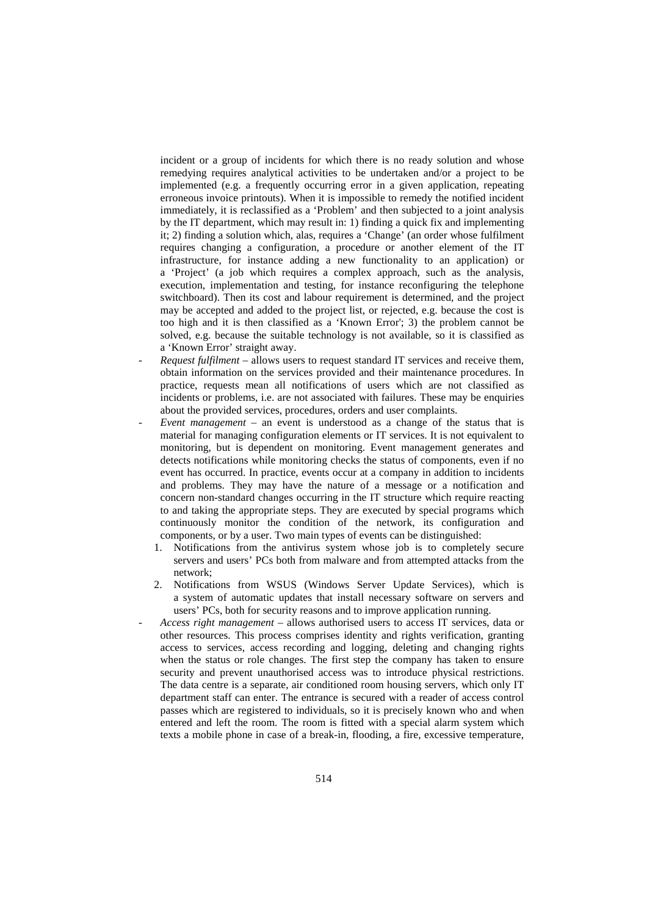incident or a group of incidents for which there is no ready solution and whose remedying requires analytical activities to be undertaken and/or a project to be implemented (e.g. a frequently occurring error in a given application, repeating erroneous invoice printouts). When it is impossible to remedy the notified incident immediately, it is reclassified as a 'Problem' and then subjected to a joint analysis by the IT department, which may result in: 1) finding a quick fix and implementing it; 2) finding a solution which, alas, requires a 'Change' (an order whose fulfilment requires changing a configuration, a procedure or another element of the IT infrastructure, for instance adding a new functionality to an application) or a 'Project' (a job which requires a complex approach, such as the analysis, execution, implementation and testing, for instance reconfiguring the telephone switchboard). Then its cost and labour requirement is determined, and the project may be accepted and added to the project list, or rejected, e.g. because the cost is too high and it is then classified as a 'Known Error'; 3) the problem cannot be solved, e.g. because the suitable technology is not available, so it is classified as a 'Known Error' straight away.

- *Request fulfilment*  allows users to request standard IT services and receive them, obtain information on the services provided and their maintenance procedures. In practice, requests mean all notifications of users which are not classified as incidents or problems, i.e. are not associated with failures. These may be enquiries about the provided services, procedures, orders and user complaints.
- *Event management* an event is understood as a change of the status that is material for managing configuration elements or IT services. It is not equivalent to monitoring, but is dependent on monitoring. Event management generates and detects notifications while monitoring checks the status of components, even if no event has occurred. In practice, events occur at a company in addition to incidents and problems. They may have the nature of a message or a notification and concern non-standard changes occurring in the IT structure which require reacting to and taking the appropriate steps. They are executed by special programs which continuously monitor the condition of the network, its configuration and components, or by a user. Two main types of events can be distinguished:
	- 1. Notifications from the antivirus system whose job is to completely secure servers and users' PCs both from malware and from attempted attacks from the network;
	- 2. Notifications from WSUS (Windows Server Update Services), which is a system of automatic updates that install necessary software on servers and users' PCs, both for security reasons and to improve application running.
- *Access right management*  allows authorised users to access IT services, data or other resources. This process comprises identity and rights verification, granting access to services, access recording and logging, deleting and changing rights when the status or role changes. The first step the company has taken to ensure security and prevent unauthorised access was to introduce physical restrictions. The data centre is a separate, air conditioned room housing servers, which only IT department staff can enter. The entrance is secured with a reader of access control passes which are registered to individuals, so it is precisely known who and when entered and left the room. The room is fitted with a special alarm system which texts a mobile phone in case of a break-in, flooding, a fire, excessive temperature,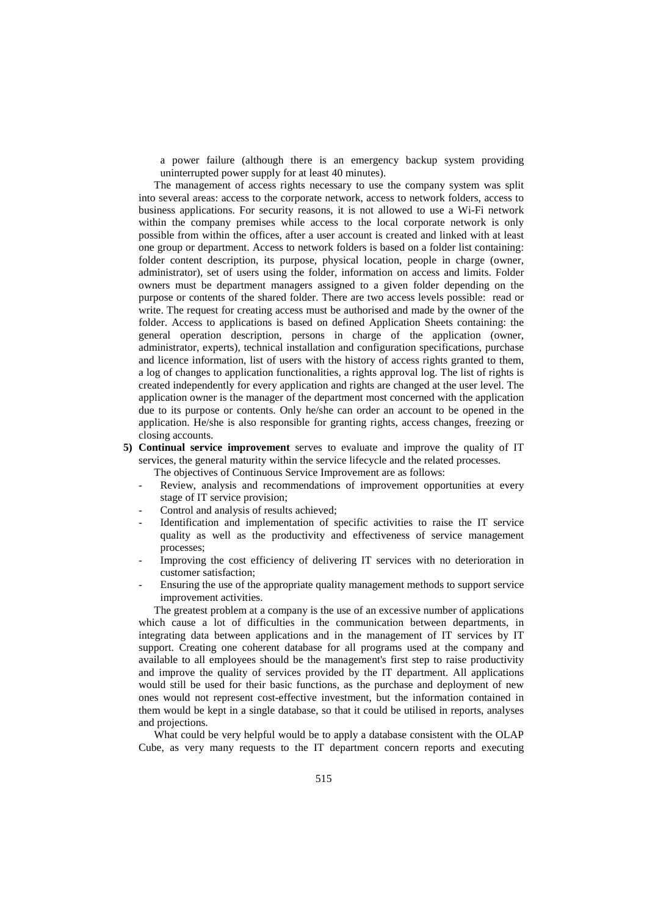a power failure (although there is an emergency backup system providing uninterrupted power supply for at least 40 minutes).

The management of access rights necessary to use the company system was split into several areas: access to the corporate network, access to network folders, access to business applications. For security reasons, it is not allowed to use a Wi-Fi network within the company premises while access to the local corporate network is only possible from within the offices, after a user account is created and linked with at least one group or department. Access to network folders is based on a folder list containing: folder content description, its purpose, physical location, people in charge (owner, administrator), set of users using the folder, information on access and limits. Folder owners must be department managers assigned to a given folder depending on the purpose or contents of the shared folder. There are two access levels possible: read or write. The request for creating access must be authorised and made by the owner of the folder. Access to applications is based on defined Application Sheets containing: the general operation description, persons in charge of the application (owner, administrator, experts), technical installation and configuration specifications, purchase and licence information, list of users with the history of access rights granted to them, a log of changes to application functionalities, a rights approval log. The list of rights is created independently for every application and rights are changed at the user level. The application owner is the manager of the department most concerned with the application due to its purpose or contents. Only he/she can order an account to be opened in the application. He/she is also responsible for granting rights, access changes, freezing or closing accounts.

**5) Continual service improvement** serves to evaluate and improve the quality of IT services, the general maturity within the service lifecycle and the related processes.

The objectives of Continuous Service Improvement are as follows:

- Review, analysis and recommendations of improvement opportunities at every stage of IT service provision;
- Control and analysis of results achieved:
- Identification and implementation of specific activities to raise the IT service quality as well as the productivity and effectiveness of service management processes;
- Improving the cost efficiency of delivering IT services with no deterioration in customer satisfaction;
- Ensuring the use of the appropriate quality management methods to support service improvement activities.

The greatest problem at a company is the use of an excessive number of applications which cause a lot of difficulties in the communication between departments, in integrating data between applications and in the management of IT services by IT support. Creating one coherent database for all programs used at the company and available to all employees should be the management's first step to raise productivity and improve the quality of services provided by the IT department. All applications would still be used for their basic functions, as the purchase and deployment of new ones would not represent cost-effective investment, but the information contained in them would be kept in a single database, so that it could be utilised in reports, analyses and projections.

What could be very helpful would be to apply a database consistent with the OLAP Cube, as very many requests to the IT department concern reports and executing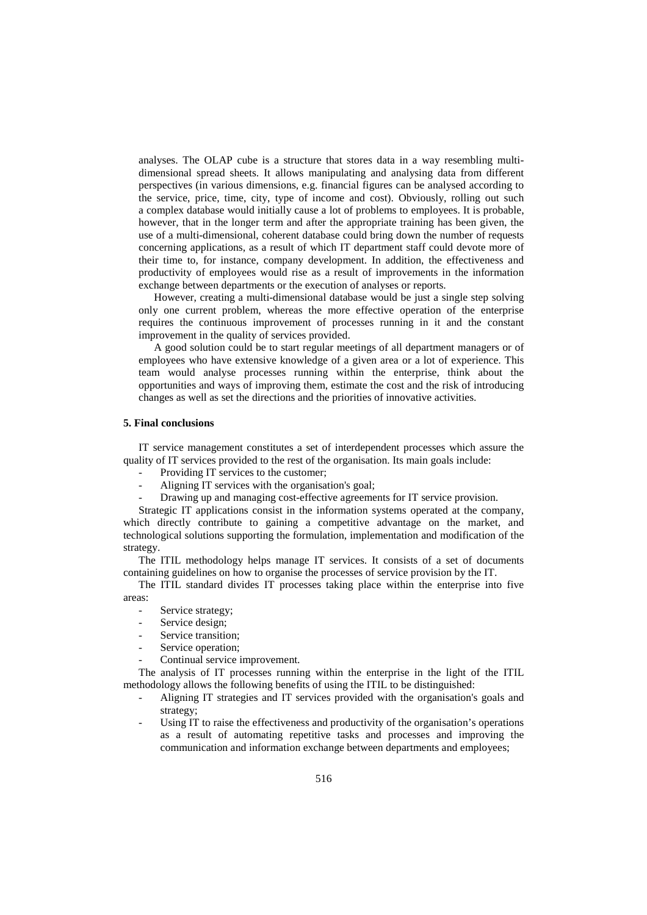analyses. The OLAP cube is a structure that stores data in a way resembling multidimensional spread sheets. It allows manipulating and analysing data from different perspectives (in various dimensions, e.g. financial figures can be analysed according to the service, price, time, city, type of income and cost). Obviously, rolling out such a complex database would initially cause a lot of problems to employees. It is probable, however, that in the longer term and after the appropriate training has been given, the use of a multi-dimensional, coherent database could bring down the number of requests concerning applications, as a result of which IT department staff could devote more of their time to, for instance, company development. In addition, the effectiveness and productivity of employees would rise as a result of improvements in the information exchange between departments or the execution of analyses or reports.

However, creating a multi-dimensional database would be just a single step solving only one current problem, whereas the more effective operation of the enterprise requires the continuous improvement of processes running in it and the constant improvement in the quality of services provided.

A good solution could be to start regular meetings of all department managers or of employees who have extensive knowledge of a given area or a lot of experience. This team would analyse processes running within the enterprise, think about the opportunities and ways of improving them, estimate the cost and the risk of introducing changes as well as set the directions and the priorities of innovative activities.

### **5. Final conclusions**

IT service management constitutes a set of interdependent processes which assure the quality of IT services provided to the rest of the organisation. Its main goals include:

- Providing IT services to the customer:
- Aligning IT services with the organisation's goal;
- Drawing up and managing cost-effective agreements for IT service provision.

Strategic IT applications consist in the information systems operated at the company, which directly contribute to gaining a competitive advantage on the market, and technological solutions supporting the formulation, implementation and modification of the strategy.

The ITIL methodology helps manage IT services. It consists of a set of documents containing guidelines on how to organise the processes of service provision by the IT.

The ITIL standard divides IT processes taking place within the enterprise into five areas:

- Service strategy;
- Service design;
- Service transition:
- Service operation;
- Continual service improvement.

The analysis of IT processes running within the enterprise in the light of the ITIL methodology allows the following benefits of using the ITIL to be distinguished:

- Aligning IT strategies and IT services provided with the organisation's goals and strategy;
- Using IT to raise the effectiveness and productivity of the organisation's operations as a result of automating repetitive tasks and processes and improving the communication and information exchange between departments and employees;